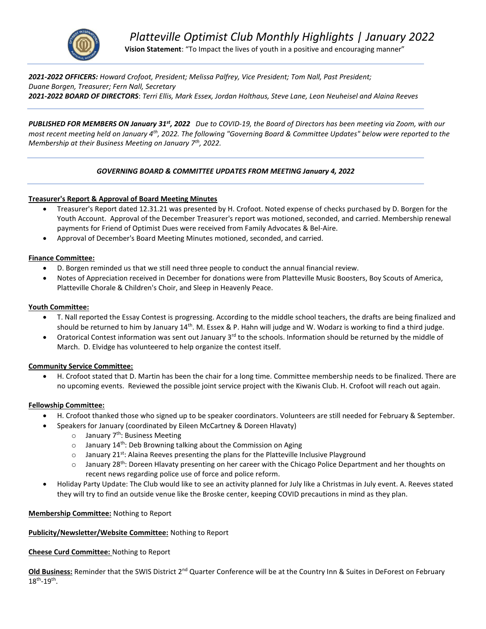

*2021-2022 OFFICERS: Howard Crofoot, President; Melissa Palfrey, Vice President; Tom Nall, Past President; Duane Borgen, Treasurer; Fern Nall, Secretary 2021-2022 BOARD OF DIRECTORS*: *Terri Ellis, Mark Essex, Jordan Holthaus, Steve Lane, Leon Neuheisel and Alaina Reeves* 

PUBLISHED FOR MEMBERS ON January 31<sup>st</sup>, 2022 Due to COVID-19, the Board of Directors has been meeting via Zoom, with our *most recent meeting held on January 4th, 2022. The following "Governing Board & Committee Updates" below were reported to the Membership at their Business Meeting on January 7th, 2022.* 

## *GOVERNING BOARD & COMMITTEE UPDATES FROM MEETING January 4, 2022*

### **Treasurer's Report & Approval of Board Meeting Minutes**

- Treasurer's Report dated 12.31.21 was presented by H. Crofoot. Noted expense of checks purchased by D. Borgen for the Youth Account. Approval of the December Treasurer's report was motioned, seconded, and carried. Membership renewal payments for Friend of Optimist Dues were received from Family Advocates & Bel-Aire.
- Approval of December's Board Meeting Minutes motioned, seconded, and carried.

### **Finance Committee:**

- D. Borgen reminded us that we still need three people to conduct the annual financial review.
- Notes of Appreciation received in December for donations were from Platteville Music Boosters, Boy Scouts of America, Platteville Chorale & Children's Choir, and Sleep in Heavenly Peace.

### **Youth Committee:**

- T. Nall reported the Essay Contest is progressing. According to the middle school teachers, the drafts are being finalized and should be returned to him by January  $14<sup>th</sup>$ . M. Essex & P. Hahn will judge and W. Wodarz is working to find a third judge.
- Oratorical Contest information was sent out January  $3<sup>rd</sup>$  to the schools. Information should be returned by the middle of March. D. Elvidge has volunteered to help organize the contest itself.

### **Community Service Committee:**

• H. Crofoot stated that D. Martin has been the chair for a long time. Committee membership needs to be finalized. There are no upcoming events. Reviewed the possible joint service project with the Kiwanis Club. H. Crofoot will reach out again.

### **Fellowship Committee:**

- H. Crofoot thanked those who signed up to be speaker coordinators. Volunteers are still needed for February & September.
- Speakers for January (coordinated by Eileen McCartney & Doreen Hlavaty)
	- $\circ$  January 7<sup>th</sup>: Business Meeting
	- $\circ$  January 14<sup>th</sup>: Deb Browning talking about the Commission on Aging
	- $\circ$  January 21<sup>st</sup>: Alaina Reeves presenting the plans for the Platteville Inclusive Playground
	- o January 28<sup>th</sup>: Doreen Hlavaty presenting on her career with the Chicago Police Department and her thoughts on recent news regarding police use of force and police reform.
- Holiday Party Update: The Club would like to see an activity planned for July like a Christmas in July event. A. Reeves stated they will try to find an outside venue like the Broske center, keeping COVID precautions in mind as they plan.

## **Membership Committee:** Nothing to Report

## **Publicity/Newsletter/Website Committee:** Nothing to Report

### **Cheese Curd Committee:** Nothing to Report

**Old Business:** Reminder that the SWIS District 2<sup>nd</sup> Quarter Conference will be at the Country Inn & Suites in DeForest on February  $18^{\text{th}}$ -19<sup>th</sup>.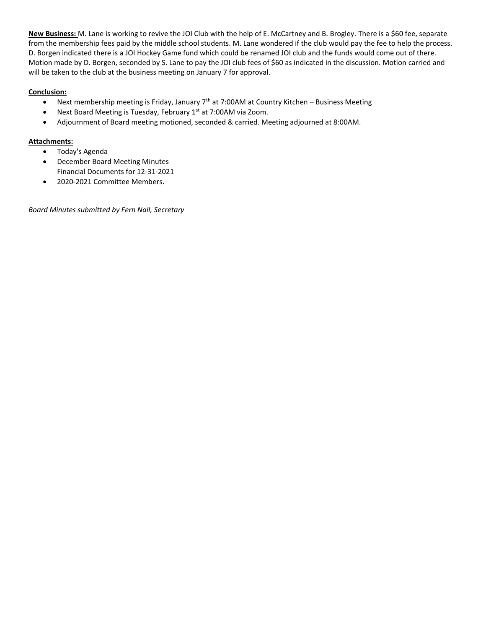**New Business:** M. Lane is working to revive the JOI Club with the help of E. McCartney and B. Brogley. There is a \$60 fee, separate from the membership fees paid by the middle school students. M. Lane wondered if the club would pay the fee to help the process. D. Borgen indicated there is a JOI Hockey Game fund which could be renamed JOI club and the funds would come out of there. Motion made by D. Borgen, seconded by S. Lane to pay the JOI club fees of \$60 as indicated in the discussion. Motion carried and will be taken to the club at the business meeting on January 7 for approval.

# **Conclusion:**

- Next membership meeting is Friday, January  $7<sup>th</sup>$  at 7:00AM at Country Kitchen Business Meeting
- Next Board Meeting is Tuesday, February 1<sup>st</sup> at 7:00AM via Zoom.
- Adjournment of Board meeting motioned, seconded & carried. Meeting adjourned at 8:00AM.

# **Attachments:**

- Today's Agenda
- December Board Meeting Minutes Financial Documents for 12-31-2021
- 2020-2021 Committee Members.

*Board Minutes submitted by Fern Nall, Secretary*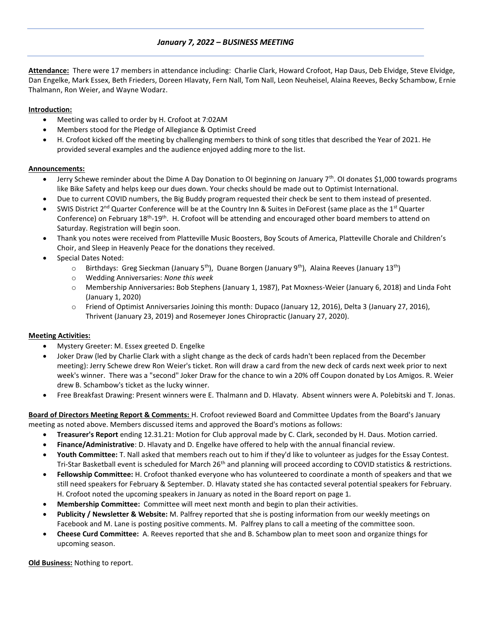# *January 7, 2022 – BUSINESS MEETING*

**Attendance:** There were 17 members in attendance including: Charlie Clark, Howard Crofoot, Hap Daus, Deb Elvidge, Steve Elvidge, Dan Engelke, Mark Essex, Beth Frieders, Doreen Hlavaty, Fern Nall, Tom Nall, Leon Neuheisel, Alaina Reeves, Becky Schambow, Ernie Thalmann, Ron Weier, and Wayne Wodarz.

## **Introduction:**

- Meeting was called to order by H. Crofoot at 7:02AM
- Members stood for the Pledge of Allegiance & Optimist Creed
- H. Crofoot kicked off the meeting by challenging members to think of song titles that described the Year of 2021. He provided several examples and the audience enjoyed adding more to the list.

## **Announcements:**

- Jerry Schewe reminder about the Dime A Day Donation to OI beginning on January 7<sup>th</sup>. OI donates \$1,000 towards programs like Bike Safety and helps keep our dues down. Your checks should be made out to Optimist International.
- Due to current COVID numbers, the Big Buddy program requested their check be sent to them instead of presented.
- SWIS District 2<sup>nd</sup> Quarter Conference will be at the Country Inn & Suites in DeForest (same place as the 1<sup>st</sup> Quarter Conference) on February 18<sup>th</sup>-19<sup>th</sup>. H. Crofoot will be attending and encouraged other board members to attend on Saturday. Registration will begin soon.
- Thank you notes were received from Platteville Music Boosters, Boy Scouts of America, Platteville Chorale and Children's Choir, and Sleep in Heavenly Peace for the donations they received.
- Special Dates Noted:
	- $\circ$  Birthdays: Greg Sieckman (January 5<sup>th</sup>), Duane Borgen (January 9<sup>th</sup>), Alaina Reeves (January 13<sup>th</sup>)
	- o Wedding Anniversaries: *None this week*
	- o Membership Anniversaries**:** Bob Stephens (January 1, 1987), Pat Moxness-Weier (January 6, 2018) and Linda Foht (January 1, 2020)
	- o Friend of Optimist Anniversaries Joining this month: Dupaco (January 12, 2016), Delta 3 (January 27, 2016), Thrivent (January 23, 2019) and Rosemeyer Jones Chiropractic (January 27, 2020).

## **Meeting Activities:**

- Mystery Greeter: M. Essex greeted D. Engelke
- Joker Draw (led by Charlie Clark with a slight change as the deck of cards hadn't been replaced from the December meeting): Jerry Schewe drew Ron Weier's ticket. Ron will draw a card from the new deck of cards next week prior to next week's winner. There was a "second" Joker Draw for the chance to win a 20% off Coupon donated by Los Amigos. R. Weier drew B. Schambow's ticket as the lucky winner.
- Free Breakfast Drawing: Present winners were E. Thalmann and D. Hlavaty. Absent winners were A. Polebitski and T. Jonas.

**Board of Directors Meeting Report & Comments:** H. Crofoot reviewed Board and Committee Updates from the Board's January meeting as noted above. Members discussed items and approved the Board's motions as follows:

- **Treasurer's Report** ending 12.31.21: Motion for Club approval made by C. Clark, seconded by H. Daus. Motion carried.
- **Finance/Administrative**: D. Hlavaty and D. Engelke have offered to help with the annual financial review.
- **Youth Committee:** T. Nall asked that members reach out to him if they'd like to volunteer as judges for the Essay Contest. Tri-Star Basketball event is scheduled for March 26<sup>th</sup> and planning will proceed according to COVID statistics & restrictions.
- **Fellowship Committee:** H. Crofoot thanked everyone who has volunteered to coordinate a month of speakers and that we still need speakers for February & September. D. Hlavaty stated she has contacted several potential speakers for February. H. Crofoot noted the upcoming speakers in January as noted in the Board report on page 1.
- **Membership Committee:** Committee will meet next month and begin to plan their activities.
- **Publicity / Newsletter & Website:** M. Palfrey reported that she is posting information from our weekly meetings on Facebook and M. Lane is posting positive comments. M. Palfrey plans to call a meeting of the committee soon.
- **Cheese Curd Committee:** A. Reeves reported that she and B. Schambow plan to meet soon and organize things for upcoming season.

**Old Business:** Nothing to report.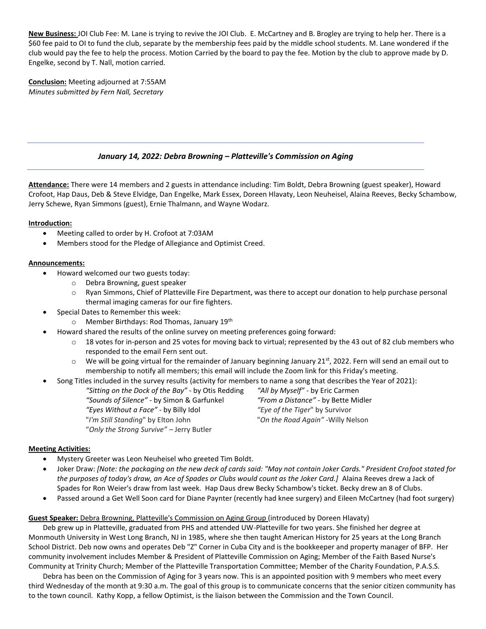**New Business:** JOI Club Fee: M. Lane is trying to revive the JOI Club. E. McCartney and B. Brogley are trying to help her. There is a \$60 fee paid to OI to fund the club, separate by the membership fees paid by the middle school students. M. Lane wondered if the club would pay the fee to help the process. Motion Carried by the board to pay the fee. Motion by the club to approve made by D. Engelke, second by T. Nall, motion carried.

**Conclusion:** Meeting adjourned at 7:55AM *Minutes submitted by Fern Nall, Secretary*

# *January 14, 2022: Debra Browning – Platteville's Commission on Aging*

**Attendance:** There were 14 members and 2 guests in attendance including: Tim Boldt, Debra Browning (guest speaker), Howard Crofoot, Hap Daus, Deb & Steve Elvidge, Dan Engelke, Mark Essex, Doreen Hlavaty, Leon Neuheisel, Alaina Reeves, Becky Schambow, Jerry Schewe, Ryan Simmons (guest), Ernie Thalmann, and Wayne Wodarz.

### **Introduction:**

- Meeting called to order by H. Crofoot at 7:03AM
- Members stood for the Pledge of Allegiance and Optimist Creed.

### **Announcements:**

- Howard welcomed our two guests today:
	- o Debra Browning, guest speaker
	- o Ryan Simmons, Chief of Platteville Fire Department, was there to accept our donation to help purchase personal thermal imaging cameras for our fire fighters.
- Special Dates to Remember this week:
	- o Member Birthdays: Rod Thomas, January 19th
- Howard shared the results of the online survey on meeting preferences going forward:
	- $\circ$  18 votes for in-person and 25 votes for moving back to virtual; represented by the 43 out of 82 club members who responded to the email Fern sent out.
	- $\circ$  We will be going virtual for the remainder of January beginning January 21st, 2022. Fern will send an email out to membership to notify all members; this email will include the Zoom link for this Friday's meeting.

• Song Titles included in the survey results (activity for members to name a song that describes the Year of 2021):

*"Sitting on the Dock of the Bay"* - by Otis Redding *"All by Myself"* - by Eric Carmen *"Sounds of Silence"* - by Simon & Garfunkel *"From a Distance"* - by Bette Midler *"Eyes Without a Face"* - by Billy Idol *"Eye of the Tiger*" by Survivor "*I'm Still Standing*" by Elton John "*On the Road Again" -*Willy Nelson "*Only the Strong Survive" –* Jerry Butler

## **Meeting Activities:**

- Mystery Greeter was Leon Neuheisel who greeted Tim Boldt.
- Joker Draw: *[Note: the packaging on the new deck of cards said: "May not contain Joker Cards." President Crofoot stated for*  the purposes of today's draw, an Ace of Spades or Clubs would count as the Joker Card.] Alaina Reeves drew a Jack of Spades for Ron Weier's draw from last week. Hap Daus drew Becky Schambow's ticket. Becky drew an 8 of Clubs.
- Passed around a Get Well Soon card for Diane Paynter (recently had knee surgery) and Eileen McCartney (had foot surgery)

# **Guest Speaker:** Debra Browning, Platteville's Commission on Aging Group (introduced by Doreen Hlavaty)

Deb grew up in Platteville, graduated from PHS and attended UW-Platteville for two years. She finished her degree at Monmouth University in West Long Branch, NJ in 1985, where she then taught American History for 25 years at the Long Branch School District. Deb now owns and operates Deb "Z" Corner in Cuba City and is the bookkeeper and property manager of BFP. Her community involvement includes Member & President of Platteville Commission on Aging; Member of the Faith Based Nurse's Community at Trinity Church; Member of the Platteville Transportation Committee; Member of the Charity Foundation, P.A.S.S.

Debra has been on the Commission of Aging for 3 years now. This is an appointed position with 9 members who meet every third Wednesday of the month at 9:30 a.m. The goal of this group is to communicate concerns that the senior citizen community has to the town council. Kathy Kopp, a fellow Optimist, is the liaison between the Commission and the Town Council.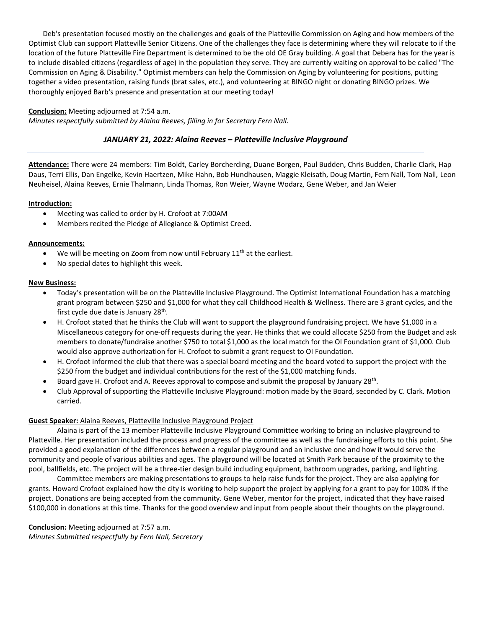Deb's presentation focused mostly on the challenges and goals of the Platteville Commission on Aging and how members of the Optimist Club can support Platteville Senior Citizens. One of the challenges they face is determining where they will relocate to if the location of the future Platteville Fire Department is determined to be the old OE Gray building. A goal that Debera has for the year is to include disabled citizens (regardless of age) in the population they serve. They are currently waiting on approval to be called "The Commission on Aging & Disability." Optimist members can help the Commission on Aging by volunteering for positions, putting together a video presentation, raising funds (brat sales, etc.), and volunteering at BINGO night or donating BINGO prizes. We thoroughly enjoyed Barb's presence and presentation at our meeting today!

### **Conclusion:** Meeting adjourned at 7:54 a.m.

*Minutes respectfully submitted by Alaina Reeves, filling in for Secretary Fern Nall.* 

# *JANUARY 21, 2022: Alaina Reeves – Platteville Inclusive Playground*

**Attendance:** There were 24 members: Tim Boldt, Carley Borcherding, Duane Borgen, Paul Budden, Chris Budden, Charlie Clark, Hap Daus, Terri Ellis, Dan Engelke, Kevin Haertzen, Mike Hahn, Bob Hundhausen, Maggie Kleisath, Doug Martin, Fern Nall, Tom Nall, Leon Neuheisel, Alaina Reeves, Ernie Thalmann, Linda Thomas, Ron Weier, Wayne Wodarz, Gene Weber, and Jan Weier

### **Introduction:**

- Meeting was called to order by H. Crofoot at 7:00AM
- Members recited the Pledge of Allegiance & Optimist Creed.

### **Announcements:**

- We will be meeting on Zoom from now until February  $11<sup>th</sup>$  at the earliest.
- No special dates to highlight this week.

### **New Business:**

- Today's presentation will be on the Platteville Inclusive Playground. The Optimist International Foundation has a matching grant program between \$250 and \$1,000 for what they call Childhood Health & Wellness. There are 3 grant cycles, and the first cycle due date is January 28<sup>th</sup>.
- H. Crofoot stated that he thinks the Club will want to support the playground fundraising project. We have \$1,000 in a Miscellaneous category for one-off requests during the year. He thinks that we could allocate \$250 from the Budget and ask members to donate/fundraise another \$750 to total \$1,000 as the local match for the OI Foundation grant of \$1,000. Club would also approve authorization for H. Crofoot to submit a grant request to OI Foundation.
- H. Crofoot informed the club that there was a special board meeting and the board voted to support the project with the \$250 from the budget and individual contributions for the rest of the \$1,000 matching funds.
- $\bullet$  Board gave H. Crofoot and A. Reeves approval to compose and submit the proposal by January 28<sup>th</sup>.
- Club Approval of supporting the Platteville Inclusive Playground: motion made by the Board, seconded by C. Clark. Motion carried.

## **Guest Speaker:** Alaina Reeves, Platteville Inclusive Playground Project

Alaina is part of the 13 member Platteville Inclusive Playground Committee working to bring an inclusive playground to Platteville. Her presentation included the process and progress of the committee as well as the fundraising efforts to this point. She provided a good explanation of the differences between a regular playground and an inclusive one and how it would serve the community and people of various abilities and ages. The playground will be located at Smith Park because of the proximity to the pool, ballfields, etc. The project will be a three-tier design build including equipment, bathroom upgrades, parking, and lighting.

Committee members are making presentations to groups to help raise funds for the project. They are also applying for grants. Howard Crofoot explained how the city is working to help support the project by applying for a grant to pay for 100% if the project. Donations are being accepted from the community. Gene Weber, mentor for the project, indicated that they have raised \$100,000 in donations at this time. Thanks for the good overview and input from people about their thoughts on the playground.

**Conclusion:** Meeting adjourned at 7:57 a.m. *Minutes Submitted respectfully by Fern Nall, Secretary*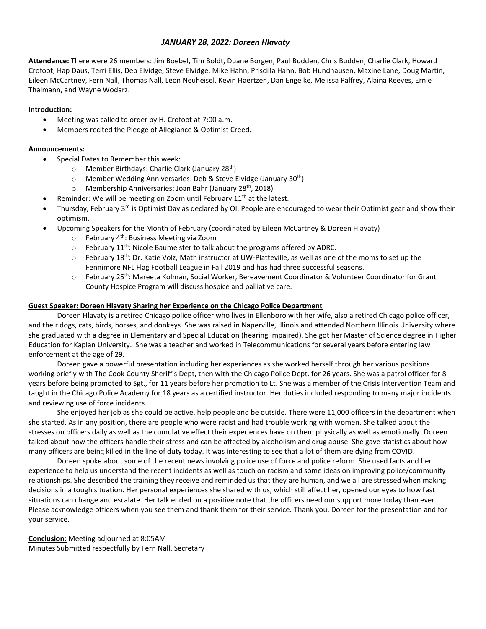## *JANUARY 28, 2022: Doreen Hlavaty*

**Attendance:** There were 26 members: Jim Boebel, Tim Boldt, Duane Borgen, Paul Budden, Chris Budden, Charlie Clark, Howard Crofoot, Hap Daus, Terri Ellis, Deb Elvidge, Steve Elvidge, Mike Hahn, Priscilla Hahn, Bob Hundhausen, Maxine Lane, Doug Martin, Eileen McCartney, Fern Nall, Thomas Nall, Leon Neuheisel, Kevin Haertzen, Dan Engelke, Melissa Palfrey, Alaina Reeves, Ernie Thalmann, and Wayne Wodarz.

### **Introduction:**

- Meeting was called to order by H. Crofoot at 7:00 a.m.
- Members recited the Pledge of Allegiance & Optimist Creed.

### **Announcements:**

- Special Dates to Remember this week:
	- $\circ$  Member Birthdays: Charlie Clark (January 28<sup>th</sup>)
	- o Member Wedding Anniversaries: Deb & Steve Elvidge (January 30th)
	- $\circ$  Membership Anniversaries: Joan Bahr (January 28<sup>th</sup>, 2018)
- Reminder: We will be meeting on Zoom until February  $11<sup>th</sup>$  at the latest.
- Thursday, February  $3^{rd}$  is Optimist Day as declared by OI. People are encouraged to wear their Optimist gear and show their optimism.
- Upcoming Speakers for the Month of February (coordinated by Eileen McCartney & Doreen Hlavaty)
	- $\circ$  February 4<sup>th</sup>: Business Meeting via Zoom
	- $\circ$  February 11<sup>th</sup>: Nicole Baumeister to talk about the programs offered by ADRC.
	- $\circ$  February 18<sup>th</sup>: Dr. Katie Volz, Math instructor at UW-Platteville, as well as one of the moms to set up the Fennimore NFL Flag Football League in Fall 2019 and has had three successful seasons.
	- $\circ$  February 25<sup>th</sup>: Mareeta Kolman, Social Worker, Bereavement Coordinator & Volunteer Coordinator for Grant County Hospice Program will discuss hospice and palliative care.

### **Guest Speaker: Doreen Hlavaty Sharing her Experience on the Chicago Police Department**

Doreen Hlavaty is a retired Chicago police officer who lives in Ellenboro with her wife, also a retired Chicago police officer, and their dogs, cats, birds, horses, and donkeys. She was raised in Naperville, Illinois and attended Northern Illinois University where she graduated with a degree in Elementary and Special Education (hearing Impaired). She got her Master of Science degree in Higher Education for Kaplan University. She was a teacher and worked in Telecommunications for several years before entering law enforcement at the age of 29.

Doreen gave a powerful presentation including her experiences as she worked herself through her various positions working briefly with The Cook County Sheriff's Dept, then with the Chicago Police Dept. for 26 years. She was a patrol officer for 8 years before being promoted to Sgt., for 11 years before her promotion to Lt. She was a member of the Crisis Intervention Team and taught in the Chicago Police Academy for 18 years as a certified instructor. Her duties included responding to many major incidents and reviewing use of force incidents.

She enjoyed her job as she could be active, help people and be outside. There were 11,000 officers in the department when she started. As in any position, there are people who were racist and had trouble working with women. She talked about the stresses on officers daily as well as the cumulative effect their experiences have on them physically as well as emotionally. Doreen talked about how the officers handle their stress and can be affected by alcoholism and drug abuse. She gave statistics about how many officers are being killed in the line of duty today. It was interesting to see that a lot of them are dying from COVID.

Doreen spoke about some of the recent news involving police use of force and police reform. She used facts and her experience to help us understand the recent incidents as well as touch on racism and some ideas on improving police/community relationships. She described the training they receive and reminded us that they are human, and we all are stressed when making decisions in a tough situation. Her personal experiences she shared with us, which still affect her, opened our eyes to how fast situations can change and escalate. Her talk ended on a positive note that the officers need our support more today than ever. Please acknowledge officers when you see them and thank them for their service. Thank you, Doreen for the presentation and for your service.

**Conclusion:** Meeting adjourned at 8:05AM Minutes Submitted respectfully by Fern Nall, Secretary